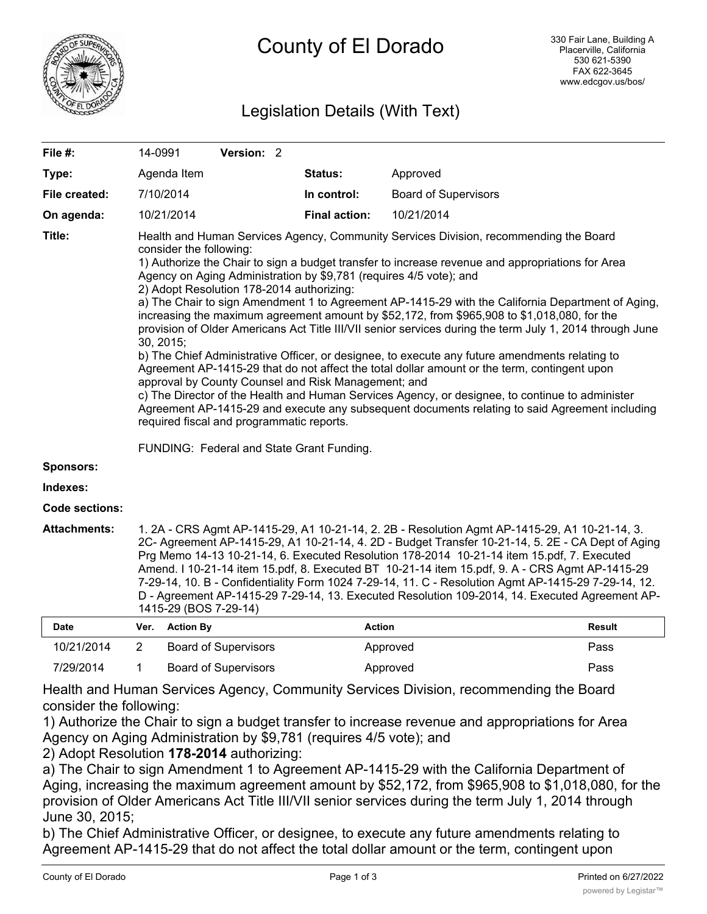

# Legislation Details (With Text)

| File #:               | 14-0991                                                                                                                                                                                                                                                                                                                                                                                                                                                                                                                                                                                                                                                                                                                                                                                                                                                                                                                                                                                                                                                                                                                                                                                                                      |                  | Version: 2                  |         |                      |                             |               |
|-----------------------|------------------------------------------------------------------------------------------------------------------------------------------------------------------------------------------------------------------------------------------------------------------------------------------------------------------------------------------------------------------------------------------------------------------------------------------------------------------------------------------------------------------------------------------------------------------------------------------------------------------------------------------------------------------------------------------------------------------------------------------------------------------------------------------------------------------------------------------------------------------------------------------------------------------------------------------------------------------------------------------------------------------------------------------------------------------------------------------------------------------------------------------------------------------------------------------------------------------------------|------------------|-----------------------------|---------|----------------------|-----------------------------|---------------|
| Type:                 |                                                                                                                                                                                                                                                                                                                                                                                                                                                                                                                                                                                                                                                                                                                                                                                                                                                                                                                                                                                                                                                                                                                                                                                                                              | Agenda Item      |                             | Status: |                      | Approved                    |               |
| File created:         |                                                                                                                                                                                                                                                                                                                                                                                                                                                                                                                                                                                                                                                                                                                                                                                                                                                                                                                                                                                                                                                                                                                                                                                                                              | 7/10/2014        |                             |         | In control:          | <b>Board of Supervisors</b> |               |
| On agenda:            |                                                                                                                                                                                                                                                                                                                                                                                                                                                                                                                                                                                                                                                                                                                                                                                                                                                                                                                                                                                                                                                                                                                                                                                                                              | 10/21/2014       |                             |         | <b>Final action:</b> | 10/21/2014                  |               |
| Title:                | Health and Human Services Agency, Community Services Division, recommending the Board<br>consider the following:<br>1) Authorize the Chair to sign a budget transfer to increase revenue and appropriations for Area<br>Agency on Aging Administration by \$9,781 (requires 4/5 vote); and<br>2) Adopt Resolution 178-2014 authorizing:<br>a) The Chair to sign Amendment 1 to Agreement AP-1415-29 with the California Department of Aging,<br>increasing the maximum agreement amount by \$52,172, from \$965,908 to \$1,018,080, for the<br>provision of Older Americans Act Title III/VII senior services during the term July 1, 2014 through June<br>30, 2015;<br>b) The Chief Administrative Officer, or designee, to execute any future amendments relating to<br>Agreement AP-1415-29 that do not affect the total dollar amount or the term, contingent upon<br>approval by County Counsel and Risk Management; and<br>c) The Director of the Health and Human Services Agency, or designee, to continue to administer<br>Agreement AP-1415-29 and execute any subsequent documents relating to said Agreement including<br>required fiscal and programmatic reports.<br>FUNDING: Federal and State Grant Funding. |                  |                             |         |                      |                             |               |
| <b>Sponsors:</b>      |                                                                                                                                                                                                                                                                                                                                                                                                                                                                                                                                                                                                                                                                                                                                                                                                                                                                                                                                                                                                                                                                                                                                                                                                                              |                  |                             |         |                      |                             |               |
| Indexes:              |                                                                                                                                                                                                                                                                                                                                                                                                                                                                                                                                                                                                                                                                                                                                                                                                                                                                                                                                                                                                                                                                                                                                                                                                                              |                  |                             |         |                      |                             |               |
| <b>Code sections:</b> |                                                                                                                                                                                                                                                                                                                                                                                                                                                                                                                                                                                                                                                                                                                                                                                                                                                                                                                                                                                                                                                                                                                                                                                                                              |                  |                             |         |                      |                             |               |
| <b>Attachments:</b>   | 1. 2A - CRS Agmt AP-1415-29, A1 10-21-14, 2. 2B - Resolution Agmt AP-1415-29, A1 10-21-14, 3.<br>2C- Agreement AP-1415-29, A1 10-21-14, 4. 2D - Budget Transfer 10-21-14, 5. 2E - CA Dept of Aging<br>Prg Memo 14-13 10-21-14, 6. Executed Resolution 178-2014 10-21-14 item 15.pdf, 7. Executed<br>Amend. I 10-21-14 item 15.pdf, 8. Executed BT 10-21-14 item 15.pdf, 9. A - CRS Agmt AP-1415-29<br>7-29-14, 10. B - Confidentiality Form 1024 7-29-14, 11. C - Resolution Agmt AP-1415-29 7-29-14, 12.<br>D - Agreement AP-1415-29 7-29-14, 13. Executed Resolution 109-2014, 14. Executed Agreement AP-<br>1415-29 (BOS 7-29-14)                                                                                                                                                                                                                                                                                                                                                                                                                                                                                                                                                                                         |                  |                             |         |                      |                             |               |
| <b>Date</b>           | Ver.                                                                                                                                                                                                                                                                                                                                                                                                                                                                                                                                                                                                                                                                                                                                                                                                                                                                                                                                                                                                                                                                                                                                                                                                                         | <b>Action By</b> |                             |         | <b>Action</b>        |                             | <b>Result</b> |
| 10/21/2014            | $\overline{2}$                                                                                                                                                                                                                                                                                                                                                                                                                                                                                                                                                                                                                                                                                                                                                                                                                                                                                                                                                                                                                                                                                                                                                                                                               |                  | <b>Board of Supervisors</b> |         |                      | Approved                    | Pass          |

Health and Human Services Agency, Community Services Division, recommending the Board consider the following:

7/29/2014 1 Board of Supervisors **Approved Pass** Approved

1) Authorize the Chair to sign a budget transfer to increase revenue and appropriations for Area Agency on Aging Administration by \$9,781 (requires 4/5 vote); and

2) Adopt Resolution **178-2014** authorizing:

a) The Chair to sign Amendment 1 to Agreement AP-1415-29 with the California Department of Aging, increasing the maximum agreement amount by \$52,172, from \$965,908 to \$1,018,080, for the provision of Older Americans Act Title III/VII senior services during the term July 1, 2014 through June 30, 2015;

b) The Chief Administrative Officer, or designee, to execute any future amendments relating to Agreement AP-1415-29 that do not affect the total dollar amount or the term, contingent upon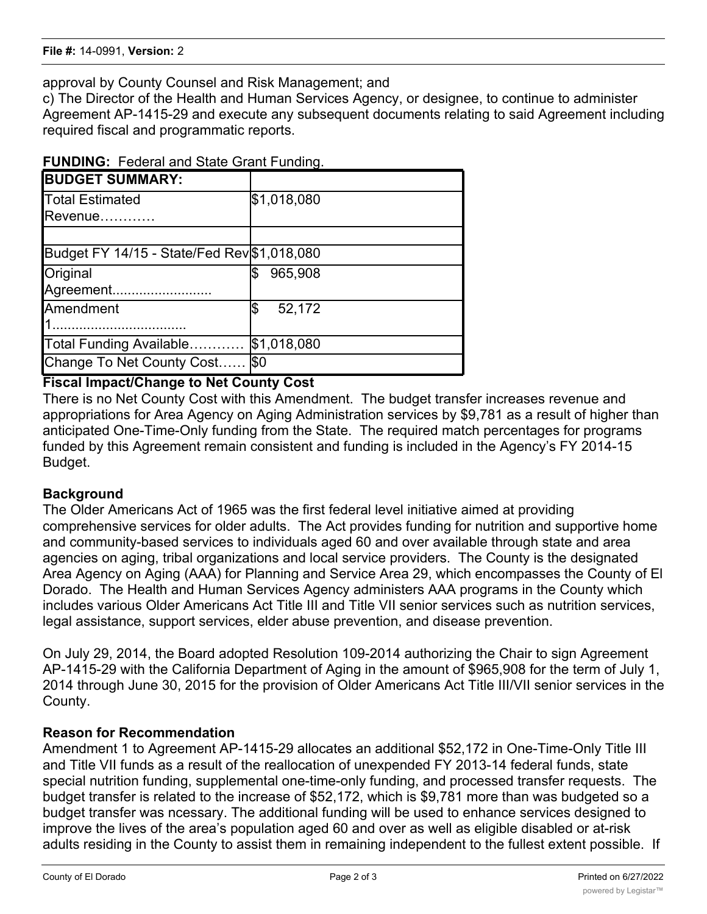approval by County Counsel and Risk Management; and

c) The Director of the Health and Human Services Agency, or designee, to continue to administer Agreement AP-1415-29 and execute any subsequent documents relating to said Agreement including required fiscal and programmatic reports.

| <b>BUDGET SUMMARY:</b>                      |              |
|---------------------------------------------|--------------|
| <b>Total Estimated</b>                      | \$1,018,080  |
| Revenue                                     |              |
| Budget FY 14/15 - State/Fed Rev \$1,018,080 |              |
| Original                                    | 965,908      |
| Agreement                                   |              |
| Amendment                                   | 52,172<br>\$ |
|                                             |              |
| Total Funding Available                     | \$1,018,080  |
| Change To Net County Cost.                  | \$0          |

#### **Fiscal Impact/Change to Net County Cost**

There is no Net County Cost with this Amendment. The budget transfer increases revenue and appropriations for Area Agency on Aging Administration services by \$9,781 as a result of higher than anticipated One-Time-Only funding from the State. The required match percentages for programs funded by this Agreement remain consistent and funding is included in the Agency's FY 2014-15 Budget.

# **Background**

The Older Americans Act of 1965 was the first federal level initiative aimed at providing comprehensive services for older adults. The Act provides funding for nutrition and supportive home and community-based services to individuals aged 60 and over available through state and area agencies on aging, tribal organizations and local service providers. The County is the designated Area Agency on Aging (AAA) for Planning and Service Area 29, which encompasses the County of El Dorado. The Health and Human Services Agency administers AAA programs in the County which includes various Older Americans Act Title III and Title VII senior services such as nutrition services, legal assistance, support services, elder abuse prevention, and disease prevention.

On July 29, 2014, the Board adopted Resolution 109-2014 authorizing the Chair to sign Agreement AP-1415-29 with the California Department of Aging in the amount of \$965,908 for the term of July 1, 2014 through June 30, 2015 for the provision of Older Americans Act Title III/VII senior services in the County.

# **Reason for Recommendation**

Amendment 1 to Agreement AP-1415-29 allocates an additional \$52,172 in One-Time-Only Title III and Title VII funds as a result of the reallocation of unexpended FY 2013-14 federal funds, state special nutrition funding, supplemental one-time-only funding, and processed transfer requests. The budget transfer is related to the increase of \$52,172, which is \$9,781 more than was budgeted so a budget transfer was ncessary. The additional funding will be used to enhance services designed to improve the lives of the area's population aged 60 and over as well as eligible disabled or at-risk adults residing in the County to assist them in remaining independent to the fullest extent possible. If